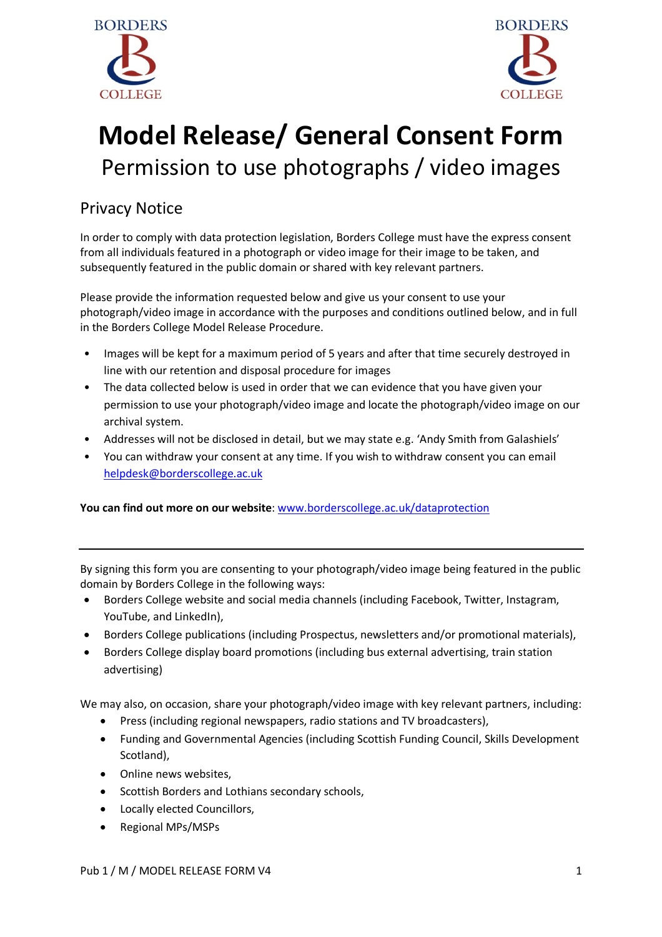



## **Model Release/ General Consent Form** Permission to use photographs / video images

## Privacy Notice

In order to comply with data protection legislation, Borders College must have the express consent from all individuals featured in a photograph or video image for their image to be taken, and subsequently featured in the public domain or shared with key relevant partners.

Please provide the information requested below and give us your consent to use your photograph/video image in accordance with the purposes and conditions outlined below, and in full in the Borders College Model Release Procedure.

- Images will be kept for a maximum period of 5 years and after that time securely destroyed in line with our retention and disposal procedure for images
- The data collected below is used in order that we can evidence that you have given your permission to use your photograph/video image and locate the photograph/video image on our archival system.
- Addresses will not be disclosed in detail, but we may state e.g. 'Andy Smith from Galashiels'
- You can withdraw your consent at any time. If you wish to withdraw consent you can email helpdesk@borderscollege.ac.uk

**You can find out more on our website**: www.borderscollege.ac.uk/dataprotection

By signing this form you are consenting to your photograph/video image being featured in the public domain by Borders College in the following ways:

- Borders College website and social media channels (including Facebook, Twitter, Instagram, YouTube, and LinkedIn),
- Borders College publications (including Prospectus, newsletters and/or promotional materials),
- Borders College display board promotions (including bus external advertising, train station advertising)

We may also, on occasion, share your photograph/video image with key relevant partners, including:

- Press (including regional newspapers, radio stations and TV broadcasters),
- Funding and Governmental Agencies (including Scottish Funding Council, Skills Development Scotland),
- Online news websites,
- Scottish Borders and Lothians secondary schools,
- Locally elected Councillors,
- Regional MPs/MSPs